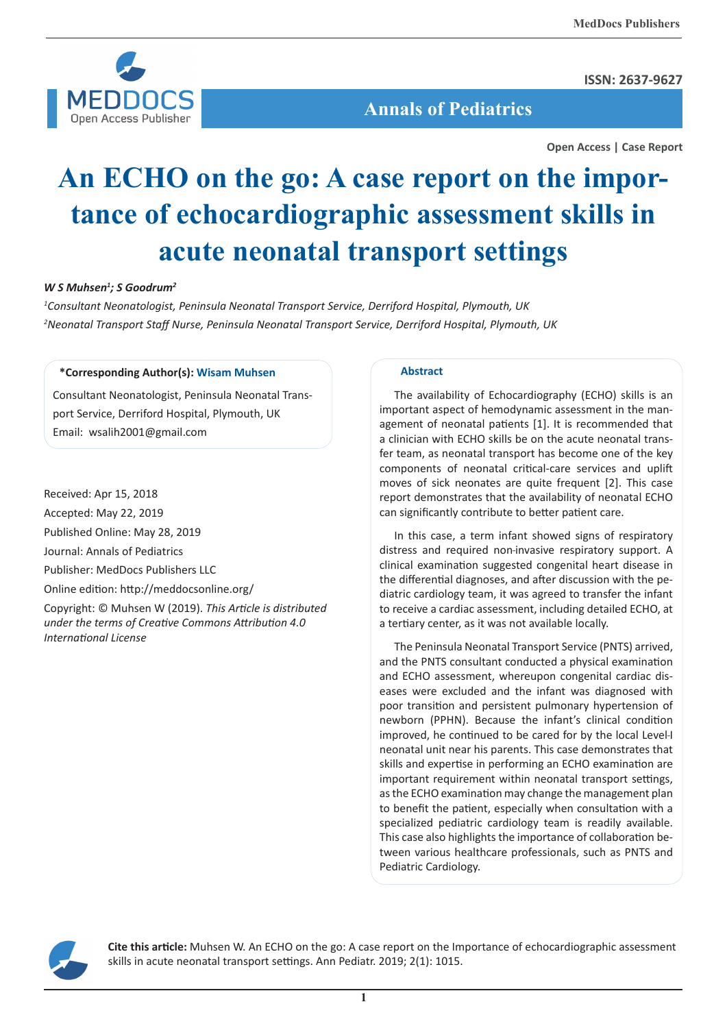

**ISSN: 2637-9627**

 **Annals of Pediatrics**

**Open Access | Case Report**

# **An ECHO on the go: A case report on the importance of echocardiographic assessment skills in acute neonatal transport settings**

## *W S Muhsen1 ; S Goodrum2*

*1 Consultant Neonatologist, Peninsula Neonatal Transport Service, Derriford Hospital, Plymouth, UK 2 Neonatal Transport Staff Nurse, Peninsula Neonatal Transport Service, Derriford Hospital, Plymouth, UK*

## **\*Corresponding Author(s): Wisam Muhsen**

Consultant Neonatologist, Peninsula Neonatal Transport Service, Derriford Hospital, Plymouth, UK Email: wsalih2001@gmail.com

Received: Apr 15, 2018 Accepted: May 22, 2019 Published Online: May 28, 2019 Journal: Annals of Pediatrics Publisher: MedDocs Publishers LLC Online edition: http://meddocsonline.org/

Copyright: © Muhsen W (2019). *This Article is distributed under the terms of Creative Commons Attribution 4.0 International License*

#### **Abstract**

The availability of Echocardiography (ECHO) skills is an important aspect of hemodynamic assessment in the management of neonatal patients [1]. It is recommended that a clinician with ECHO skills be on the acute neonatal transfer team, as neonatal transport has become one of the key components of neonatal critical-care services and uplift moves of sick neonates are quite frequent [2]. This case report demonstrates that the availability of neonatal ECHO can significantly contribute to better patient care.

In this case, a term infant showed signs of respiratory distress and required non-invasive respiratory support. A clinical examination suggested congenital heart disease in the differential diagnoses, and after discussion with the pediatric cardiology team, it was agreed to transfer the infant to receive a cardiac assessment, including detailed ECHO, at a tertiary center, as it was not available locally.

The Peninsula Neonatal Transport Service (PNTS) arrived, and the PNTS consultant conducted a physical examination and ECHO assessment, whereupon congenital cardiac diseases were excluded and the infant was diagnosed with poor transition and persistent pulmonary hypertension of newborn (PPHN). Because the infant's clinical condition improved, he continued to be cared for by the local Level-I neonatal unit near his parents. This case demonstrates that skills and expertise in performing an ECHO examination are important requirement within neonatal transport settings, as the ECHO examination may change the management plan to benefit the patient, especially when consultation with a specialized pediatric cardiology team is readily available. This case also highlights the importance of collaboration between various healthcare professionals, such as PNTS and Pediatric Cardiology.



**Cite this article:** Muhsen W. An ECHO on the go: A case report on the Importance of echocardiographic assessment skills in acute neonatal transport settings. Ann Pediatr. 2019; 2(1): 1015.